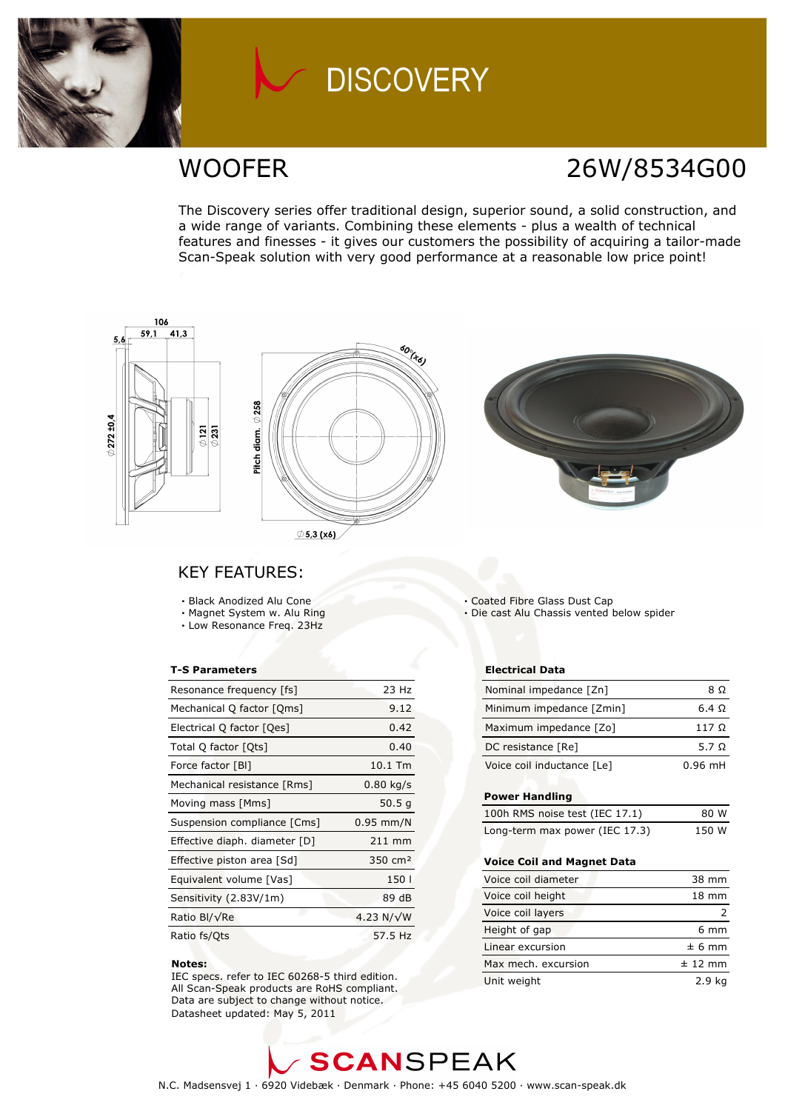

## **DISCOVERY**

## WOOFER 26W/8534G00

The Discovery series offer traditional design, superior sound, a solid construction, and a wide range of variants. Combining these elements - plus a wealth of technical features and finesses - it gives our customers the possibility of acquiring a tailor-made Scan-Speak solution with very good performance at a reasonable low price point!



### KEY FEATURES:

- Black Anodized Alu Cone
- Magnet System w. Alu Ring
- Low Resonance Freq. 23Hz

#### T-S Parameters

| Resonance frequency [fs]      | 23 Hz               |
|-------------------------------|---------------------|
| Mechanical Q factor [Qms]     | 9.12                |
| Electrical Q factor [Qes]     | 0.42                |
| Total Q factor [Ots]          | 0.40                |
| Force factor [BI]             | 10.1 Tm             |
| Mechanical resistance [Rms]   | $0.80$ kg/s         |
| Moving mass [Mms]             | 50.5 g              |
| Suspension compliance [Cms]   | $0.95$ mm/N         |
| Effective diaph. diameter [D] | $211$ mm            |
| Effective piston area [Sd]    | 350 cm <sup>2</sup> |
| Equivalent volume [Vas]       | 150                 |
| Sensitivity (2.83V/1m)        | 89 dB               |
| Ratio Bl/√Re                  | 4.23 N/ $\sqrt{W}$  |
| Ratio fs/Qts                  | 57.5 Hz             |

#### Notes:

 IEC specs. refer to IEC 60268-5 third edition. All Scan-Speak products are RoHS compliant. Data are subject to change without notice. Datasheet updated: May 5, 2011

- Coated Fibre Glass Dust Cap
- Die cast Alu Chassis vented below spider

#### Electrical Data

| Nominal impedance [Zn]     | 8 O       |
|----------------------------|-----------|
| Minimum impedance [Zmin]   | 6.4 Q     |
| Maximum impedance [Zo]     | 117 O     |
| DC resistance [Re]         | 5.7 Q     |
| Voice coil inductance [Le] | $0.96$ mH |

#### Power Handling

| 100h RMS noise test (IEC 17.1) | 80 W  |
|--------------------------------|-------|
| Long-term max power (IEC 17.3) | 150 W |

#### Voice Coil and Magnet Data

| Voice coil diameter | 38 mm           |
|---------------------|-----------------|
| Voice coil height   | $18 \text{ mm}$ |
| Voice coil layers   |                 |
| Height of gap       | $6 \text{ mm}$  |
| Linear excursion    | $± 6$ mm        |
| Max mech, excursion | $± 12$ mm       |
| Unit weight         | 2.9 ka          |